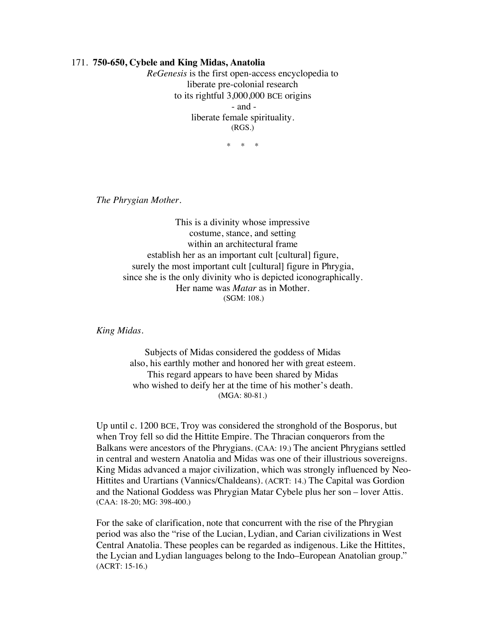## 171. **750-650, Cybele and King Midas, Anatolia**

*ReGenesis* is the first open-access encyclopedia to liberate pre-colonial research to its rightful 3,000,000 BCE origins - and liberate female spirituality. (RGS.)

 $*$  \*

*The Phrygian Mother.*

This is a divinity whose impressive costume, stance, and setting within an architectural frame establish her as an important cult [cultural] figure, surely the most important cult [cultural] figure in Phrygia, since she is the only divinity who is depicted iconographically. Her name was *Matar* as in Mother. (SGM: 108.)

*King Midas.*

Subjects of Midas considered the goddess of Midas also, his earthly mother and honored her with great esteem. This regard appears to have been shared by Midas who wished to deify her at the time of his mother's death. (MGA: 80-81.)

Up until c. 1200 BCE, Troy was considered the stronghold of the Bosporus, but when Troy fell so did the Hittite Empire. The Thracian conquerors from the Balkans were ancestors of the Phrygians. (CAA: 19.) The ancient Phrygians settled in central and western Anatolia and Midas was one of their illustrious sovereigns. King Midas advanced a major civilization, which was strongly influenced by Neo-Hittites and Urartians (Vannics/Chaldeans). (ACRT: 14.) The Capital was Gordion and the National Goddess was Phrygian Matar Cybele plus her son – lover Attis. (CAA: 18-20; MG: 398-400.)

For the sake of clarification, note that concurrent with the rise of the Phrygian period was also the "rise of the Lucian, Lydian, and Carian civilizations in West Central Anatolia. These peoples can be regarded as indigenous. Like the Hittites, the Lycian and Lydian languages belong to the Indo–European Anatolian group." (ACRT: 15-16.)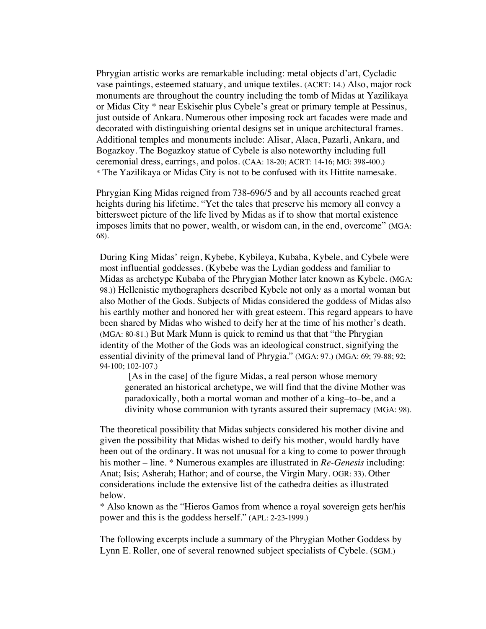Phrygian artistic works are remarkable including: metal objects d'art, Cycladic vase paintings, esteemed statuary, and unique textiles. (ACRT: 14.) Also, major rock monuments are throughout the country including the tomb of Midas at Yazilikaya or Midas City \* near Eskisehir plus Cybele's great or primary temple at Pessinus, just outside of Ankara. Numerous other imposing rock art facades were made and decorated with distinguishing oriental designs set in unique architectural frames. Additional temples and monuments include: Alisar, Alaca, Pazarli, Ankara, and Bogazkoy. The Bogazkoy statue of Cybele is also noteworthy including full ceremonial dress, earrings, and polos. (CAA: 18-20; ACRT: 14-16; MG: 398-400.) \* The Yazilikaya or Midas City is not to be confused with its Hittite namesake.

Phrygian King Midas reigned from 738-696/5 and by all accounts reached great heights during his lifetime. "Yet the tales that preserve his memory all convey a bittersweet picture of the life lived by Midas as if to show that mortal existence imposes limits that no power, wealth, or wisdom can, in the end, overcome" (MGA: 68).

During King Midas' reign, Kybebe, Kybileya, Kubaba, Kybele, and Cybele were most influential goddesses. (Kybebe was the Lydian goddess and familiar to Midas as archetype Kubaba of the Phrygian Mother later known as Kybele. (MGA: 98.)) Hellenistic mythographers described Kybele not only as a mortal woman but also Mother of the Gods. Subjects of Midas considered the goddess of Midas also his earthly mother and honored her with great esteem. This regard appears to have been shared by Midas who wished to deify her at the time of his mother's death. (MGA: 80-81.) But Mark Munn is quick to remind us that that "the Phrygian identity of the Mother of the Gods was an ideological construct, signifying the essential divinity of the primeval land of Phrygia." (MGA: 97.) (MGA: 69; 79-88; 92; 94-100; 102-107.)

[As in the case] of the figure Midas, a real person whose memory generated an historical archetype, we will find that the divine Mother was paradoxically, both a mortal woman and mother of a king–to–be, and a divinity whose communion with tyrants assured their supremacy (MGA: 98).

The theoretical possibility that Midas subjects considered his mother divine and given the possibility that Midas wished to deify his mother, would hardly have been out of the ordinary. It was not unusual for a king to come to power through his mother – line. \* Numerous examples are illustrated in *Re-Genesis* including: Anat; Isis; Asherah; Hathor; and of course, the Virgin Mary. OGR: 33). Other considerations include the extensive list of the cathedra deities as illustrated below.

\* Also known as the "Hieros Gamos from whence a royal sovereign gets her/his power and this is the goddess herself." (APL: 2-23-1999.)

The following excerpts include a summary of the Phrygian Mother Goddess by Lynn E. Roller, one of several renowned subject specialists of Cybele. (SGM.)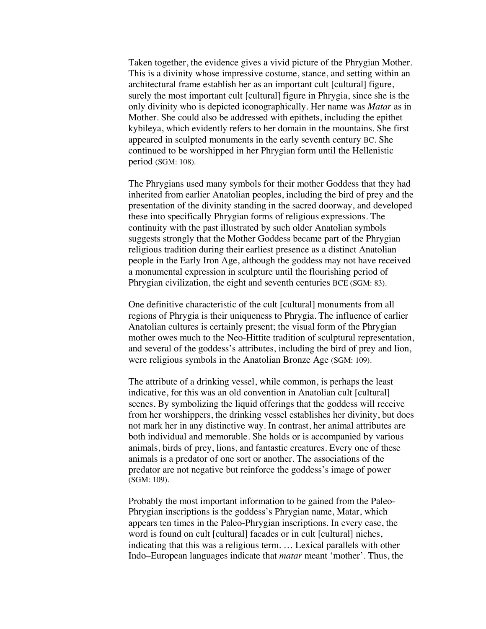Taken together, the evidence gives a vivid picture of the Phrygian Mother. This is a divinity whose impressive costume, stance, and setting within an architectural frame establish her as an important cult [cultural] figure, surely the most important cult [cultural] figure in Phrygia, since she is the only divinity who is depicted iconographically. Her name was *Matar* as in Mother. She could also be addressed with epithets, including the epithet kybileya, which evidently refers to her domain in the mountains. She first appeared in sculpted monuments in the early seventh century BC. She continued to be worshipped in her Phrygian form until the Hellenistic period (SGM: 108).

The Phrygians used many symbols for their mother Goddess that they had inherited from earlier Anatolian peoples, including the bird of prey and the presentation of the divinity standing in the sacred doorway, and developed these into specifically Phrygian forms of religious expressions. The continuity with the past illustrated by such older Anatolian symbols suggests strongly that the Mother Goddess became part of the Phrygian religious tradition during their earliest presence as a distinct Anatolian people in the Early Iron Age, although the goddess may not have received a monumental expression in sculpture until the flourishing period of Phrygian civilization, the eight and seventh centuries BCE (SGM: 83).

One definitive characteristic of the cult [cultural] monuments from all regions of Phrygia is their uniqueness to Phrygia. The influence of earlier Anatolian cultures is certainly present; the visual form of the Phrygian mother owes much to the Neo-Hittite tradition of sculptural representation, and several of the goddess's attributes, including the bird of prey and lion, were religious symbols in the Anatolian Bronze Age (SGM: 109).

The attribute of a drinking vessel, while common, is perhaps the least indicative, for this was an old convention in Anatolian cult [cultural] scenes. By symbolizing the liquid offerings that the goddess will receive from her worshippers, the drinking vessel establishes her divinity, but does not mark her in any distinctive way. In contrast, her animal attributes are both individual and memorable. She holds or is accompanied by various animals, birds of prey, lions, and fantastic creatures. Every one of these animals is a predator of one sort or another. The associations of the predator are not negative but reinforce the goddess's image of power (SGM: 109).

Probably the most important information to be gained from the Paleo-Phrygian inscriptions is the goddess's Phrygian name, Matar, which appears ten times in the Paleo-Phrygian inscriptions. In every case, the word is found on cult [cultural] facades or in cult [cultural] niches, indicating that this was a religious term. … Lexical parallels with other Indo–European languages indicate that *matar* meant 'mother'. Thus, the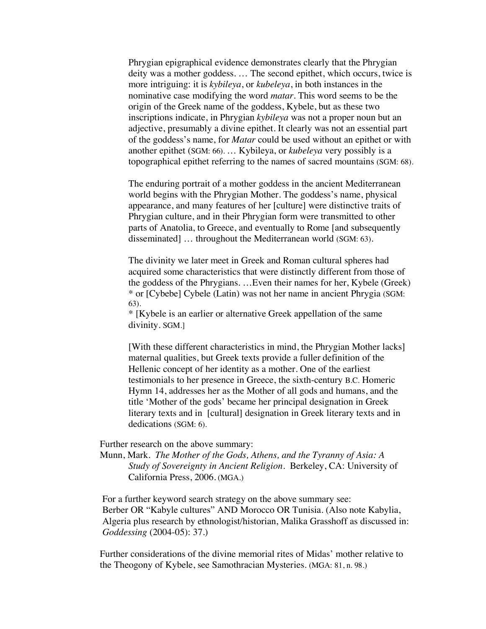Phrygian epigraphical evidence demonstrates clearly that the Phrygian deity was a mother goddess. … The second epithet, which occurs, twice is more intriguing: it is *kybileya*, or *kubeleya*, in both instances in the nominative case modifying the word *matar*. This word seems to be the origin of the Greek name of the goddess, Kybele, but as these two inscriptions indicate, in Phrygian *kybileya* was not a proper noun but an adjective, presumably a divine epithet. It clearly was not an essential part of the goddess's name, for *Matar* could be used without an epithet or with another epithet (SGM: 66). … Kybileya, or *kubeleya* very possibly is a topographical epithet referring to the names of sacred mountains (SGM: 68).

The enduring portrait of a mother goddess in the ancient Mediterranean world begins with the Phrygian Mother. The goddess's name, physical appearance, and many features of her [culture] were distinctive traits of Phrygian culture, and in their Phrygian form were transmitted to other parts of Anatolia, to Greece, and eventually to Rome [and subsequently disseminated] … throughout the Mediterranean world (SGM: 63).

The divinity we later meet in Greek and Roman cultural spheres had acquired some characteristics that were distinctly different from those of the goddess of the Phrygians. …Even their names for her, Kybele (Greek) \* or [Cybebe] Cybele (Latin) was not her name in ancient Phrygia (SGM: 63).

\* [Kybele is an earlier or alternative Greek appellation of the same divinity. SGM.]

[With these different characteristics in mind, the Phrygian Mother lacks] maternal qualities, but Greek texts provide a fuller definition of the Hellenic concept of her identity as a mother. One of the earliest testimonials to her presence in Greece, the sixth-century B.C. Homeric Hymn 14, addresses her as the Mother of all gods and humans, and the title 'Mother of the gods' became her principal designation in Greek literary texts and in [cultural] designation in Greek literary texts and in dedications (SGM: 6).

Further research on the above summary:

Munn, Mark. *The Mother of the Gods, Athens, and the Tyranny of Asia: A Study of Sovereignty in Ancient Religion.* Berkeley, CA: University of California Press, 2006. (MGA.)

For a further keyword search strategy on the above summary see: Berber OR "Kabyle cultures" AND Morocco OR Tunisia. (Also note Kabylia, Algeria plus research by ethnologist/historian, Malika Grasshoff as discussed in: *Goddessing* (2004-05): 37.)

Further considerations of the divine memorial rites of Midas' mother relative to the Theogony of Kybele, see Samothracian Mysteries. (MGA: 81, n. 98.)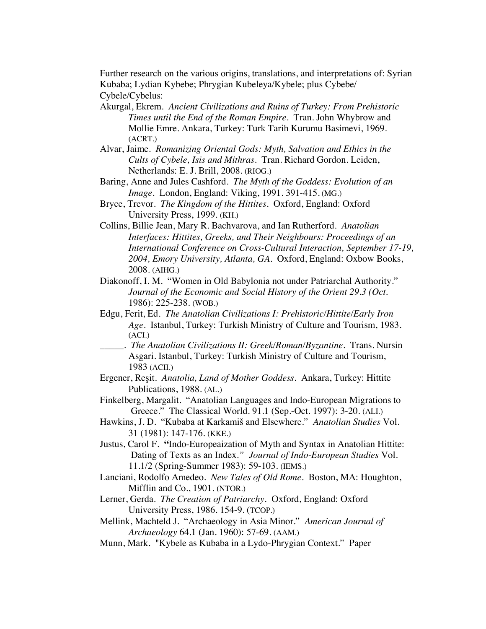Further research on the various origins, translations, and interpretations of: Syrian Kubaba; Lydian Kybebe; Phrygian Kubeleya/Kybele; plus Cybebe/ Cybele/Cybelus:

- Akurgal, Ekrem*. Ancient Civilizations and Ruins of Turkey: From Prehistoric Times until the End of the Roman Empire*. Tran. John Whybrow and Mollie Emre. Ankara, Turkey: Turk Tarih Kurumu Basimevi, 1969. (ACRT.)
- Alvar, Jaime. *Romanizing Oriental Gods: Myth, Salvation and Ethics in the Cults of Cybele, Isis and Mithras*. Tran. Richard Gordon. Leiden, Netherlands: E. J. Brill, 2008. (RIOG.)
- Baring, Anne and Jules Cashford. *The Myth of the Goddess: Evolution of an Image*. London, England: Viking, 1991. 391-415. (MG.)
- Bryce, Trevor. *The Kingdom of the Hittites*. Oxford, England: Oxford University Press, 1999. (KH.)
- Collins, Billie Jean, Mary R. Bachvarova, and Ian Rutherford. *Anatolian Interfaces: Hittites, Greeks, and Their Neighbours: Proceedings of an International Conference on Cross-Cultural Interaction, September 17-19, 2004, Emory University, Atlanta, GA.* Oxford, England: Oxbow Books, 2008. (AIHG.)
- Diakonoff, I. M. "Women in Old Babylonia not under Patriarchal Authority." *Journal of the Economic and Social History of the Orient 29.3 (Oct.*  1986): 225-238. (WOB.)
- Edgu, Ferit, Ed. *The Anatolian Civilizations I: Prehistoric/Hittite/Early Iron Age*. Istanbul, Turkey: Turkish Ministry of Culture and Tourism, 1983. (ACI.)
- \_\_\_\_\_. *The Anatolian Civilizations II: Greek/Roman/Byzantine*. Trans. Nursin Asgari. Istanbul, Turkey: Turkish Ministry of Culture and Tourism, 1983 (ACII.)
- Ergener, Reşit. *Anatolia, Land of Mother Goddess*. Ankara, Turkey: Hittite Publications, 1988. (AL.)
- Finkelberg, Margalit. "Anatolian Languages and Indo-European Migrations to Greece." The Classical World. 91.1 (Sep.-Oct. 1997): 3-20. (ALI.)
- Hawkins, J. D. "Kubaba at Karkamiš and Elsewhere." *Anatolian Studies* Vol. 31 (1981): 147-176. (KKE.)
- Justus, Carol F. **"**Indo-Europeaization of Myth and Syntax in Anatolian Hittite: Dating of Texts as an Index*." Journal of Indo-European Studies* Vol. 11.1/2 (Spring-Summer 1983): 59-103. (IEMS.)
- Lanciani, Rodolfo Amedeo. *New Tales of Old Rome*. Boston, MA: Houghton, Mifflin and Co., 1901. (NTOR.)
- Lerner, Gerda. *The Creation of Patriarchy.* Oxford, England: Oxford University Press, 1986. 154-9. (TCOP.)
- Mellink, Machteld J. "Archaeology in Asia Minor." *American Journal of Archaeology* 64.1 (Jan. 1960): 57-69. (AAM.)
- Munn, Mark. "Kybele as Kubaba in a Lydo-Phrygian Context." Paper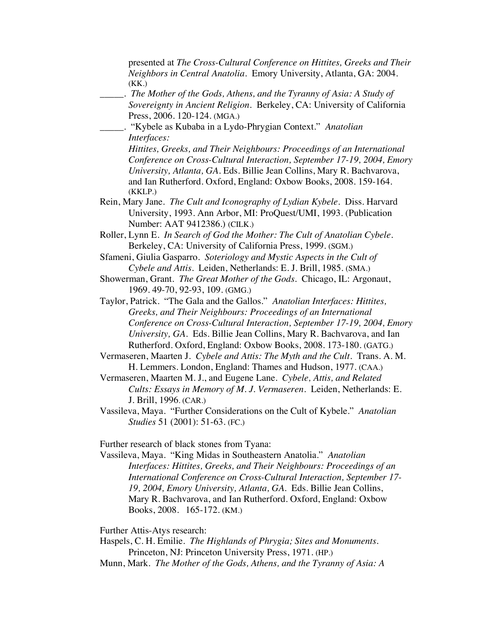presented at *The Cross-Cultural Conference on Hittites, Greeks and Their Neighbors in Central Anatolia.* Emory University, Atlanta, GA: 2004. (KK.) \_\_\_\_\_. *The Mother of the Gods, Athens, and the Tyranny of Asia: A Study of Sovereignty in Ancient Religion.* Berkeley, CA: University of California Press, 2006. 120-124. (MGA.) \_\_\_\_\_. "Kybele as Kubaba in a Lydo-Phrygian Context." *Anatolian Interfaces: Hittites, Greeks, and Their Neighbours: Proceedings of an International Conference on Cross-Cultural Interaction, September 17-19, 2004, Emory University, Atlanta, GA.* Eds. Billie Jean Collins, Mary R. Bachvarova, and Ian Rutherford. Oxford, England: Oxbow Books, 2008. 159-164. (KKLP.) Rein, Mary Jane. *The Cult and Iconography of Lydian Kybele*. Diss. Harvard University, 1993. Ann Arbor, MI: ProQuest/UMI, 1993. (Publication Number: AAT 9412386.) (CILK.) Roller, Lynn E. *In Search of God the Mother: The Cult of Anatolian Cybele.* Berkeley, CA: University of California Press, 1999. (SGM.) Sfameni, Giulia Gasparro. *Soteriology and Mystic Aspects in the Cult of Cybele and Attis.* Leiden, Netherlands: E. J. Brill, 1985. (SMA.) Showerman, Grant. *The Great Mother of the Gods*. Chicago, IL: Argonaut, 1969. 49-70, 92-93, 109. (GMG.) Taylor, Patrick. "The Gala and the Gallos." *Anatolian Interfaces: Hittites, Greeks, and Their Neighbours: Proceedings of an International Conference on Cross-Cultural Interaction, September 17-19, 2004, Emory University, GA.* Eds. Billie Jean Collins, Mary R. Bachvarova, and Ian Rutherford. Oxford, England: Oxbow Books, 2008. 173-180. (GATG.) Vermaseren, Maarten J. *Cybele and Attis: The Myth and the Cult.* Trans. A. M. H. Lemmers. London, England: Thames and Hudson, 1977. (CAA.) Vermaseren, Maarten M. J., and Eugene Lane. *Cybele, Attis, and Related Cults: Essays in Memory of M. J. Vermaseren*. Leiden, Netherlands: E. J. Brill, 1996. (CAR.)

Vassileva, Maya. "Further Considerations on the Cult of Kybele." *Anatolian Studies* 51 (2001): 51-63. (FC.)

Further research of black stones from Tyana:

Vassileva, Maya. "King Midas in Southeastern Anatolia." *Anatolian Interfaces: Hittites, Greeks, and Their Neighbours: Proceedings of an International Conference on Cross-Cultural Interaction, September 17- 19, 2004, Emory University, Atlanta, GA.* Eds. Billie Jean Collins, Mary R. Bachvarova, and Ian Rutherford. Oxford, England: Oxbow Books, 2008. 165-172. (KM.)

Further Attis-Atys research:

Haspels, C. H. Emilie. *The Highlands of Phrygia; Sites and Monuments.* Princeton, NJ: Princeton University Press, 1971. (HP.)

Munn, Mark. *The Mother of the Gods, Athens, and the Tyranny of Asia: A*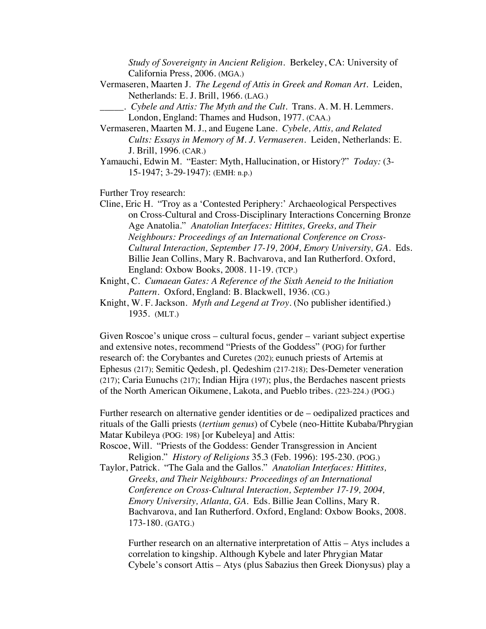*Study of Sovereignty in Ancient Religion.* Berkeley, CA: University of California Press, 2006. (MGA.)

- Vermaseren, Maarten J. *The Legend of Attis in Greek and Roman Art.* Leiden, Netherlands: E. J. Brill, 1966. (LAG.)
	- \_\_\_\_\_. *Cybele and Attis: The Myth and the Cult*. Trans. A. M. H. Lemmers. London, England: Thames and Hudson, 1977. (CAA.)

Vermaseren, Maarten M. J., and Eugene Lane. *Cybele, Attis, and Related Cults: Essays in Memory of M. J. Vermaseren*. Leiden, Netherlands: E. J. Brill, 1996. (CAR.)

Yamauchi, Edwin M. "Easter: Myth, Hallucination, or History?" *Today:* (3- 15-1947; 3-29-1947): (EMH: n.p.)

Further Troy research:

Cline, Eric H. "Troy as a 'Contested Periphery:' Archaeological Perspectives on Cross-Cultural and Cross-Disciplinary Interactions Concerning Bronze Age Anatolia." *Anatolian Interfaces: Hittites, Greeks, and Their Neighbours: Proceedings of an International Conference on Cross-Cultural Interaction, September 17-19, 2004, Emory University, GA.* Eds. Billie Jean Collins, Mary R. Bachvarova, and Ian Rutherford. Oxford, England: Oxbow Books, 2008. 11-19. (TCP.)

Knight, C. *Cumaean Gates: A Reference of the Sixth Aeneid to the Initiation Pattern*. Oxford, England: B. Blackwell, 1936. (CG.)

Knight, W. F. Jackson. *Myth and Legend at Troy.* (No publisher identified.) 1935. (MLT.)

Given Roscoe's unique cross – cultural focus, gender – variant subject expertise and extensive notes, recommend "Priests of the Goddess" (POG) for further research of: the Corybantes and Curetes (202); eunuch priests of Artemis at Ephesus (217); Semitic Qedesh, pl. Qedeshim (217-218); Des-Demeter veneration (217); Caria Eunuchs (217); Indian Hijra (197); plus, the Berdaches nascent priests of the North American Oikumene, Lakota, and Pueblo tribes. (223-224.) (POG.)

Further research on alternative gender identities or de – oedipalized practices and rituals of the Galli priests (*tertium genus*) of Cybele (neo-Hittite Kubaba/Phrygian Matar Kubileya (POG: 198) [or Kubeleya] and Attis:

Roscoe, Will. "Priests of the Goddess: Gender Transgression in Ancient Religion." *History of Religions* 35.3 (Feb. 1996): 195-230. (POG.)

Taylor, Patrick. "The Gala and the Gallos." *Anatolian Interfaces: Hittites, Greeks, and Their Neighbours: Proceedings of an International Conference on Cross-Cultural Interaction, September 17-19, 2004, Emory University, Atlanta, GA.* Eds. Billie Jean Collins, Mary R. Bachvarova, and Ian Rutherford. Oxford, England: Oxbow Books, 2008. 173-180. (GATG.)

Further research on an alternative interpretation of Attis – Atys includes a correlation to kingship. Although Kybele and later Phrygian Matar Cybele's consort Attis – Atys (plus Sabazius then Greek Dionysus) play a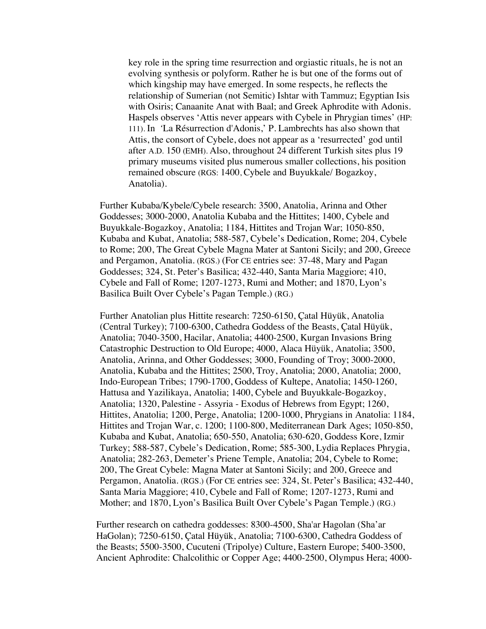key role in the spring time resurrection and orgiastic rituals, he is not an evolving synthesis or polyform. Rather he is but one of the forms out of which kingship may have emerged. In some respects, he reflects the relationship of Sumerian (not Semitic) Ishtar with Tammuz; Egyptian Isis with Osiris; Canaanite Anat with Baal; and Greek Aphrodite with Adonis. Haspels observes 'Attis never appears with Cybele in Phrygian times' (HP: 111). In *'*La Résurrection d'Adonis,' P. Lambrechts has also shown that Attis, the consort of Cybele, does not appear as a 'resurrected' god until after A.D. 150 (EMH). Also, throughout 24 different Turkish sites plus 19 primary museums visited plus numerous smaller collections, his position remained obscure (RGS: 1400, Cybele and Buyukkale/ Bogazkoy, Anatolia).

Further Kubaba/Kybele/Cybele research: 3500, Anatolia, Arinna and Other Goddesses; 3000-2000, Anatolia Kubaba and the Hittites; 1400, Cybele and Buyukkale-Bogazkoy, Anatolia; 1184, Hittites and Trojan War; 1050-850, Kubaba and Kubat, Anatolia; 588-587, Cybele's Dedication, Rome; 204, Cybele to Rome; 200, The Great Cybele Magna Mater at Santoni Sicily; and 200, Greece and Pergamon, Anatolia. (RGS.) (For CE entries see: 37-48, Mary and Pagan Goddesses; 324, St. Peter's Basilica; 432-440, Santa Maria Maggiore; 410, Cybele and Fall of Rome; 1207-1273, Rumi and Mother; and 1870, Lyon's Basilica Built Over Cybele's Pagan Temple.) (RG.)

Further Anatolian plus Hittite research: 7250-6150, Çatal Hüyük, Anatolia (Central Turkey); 7100-6300, Cathedra Goddess of the Beasts, Çatal Hüyük, Anatolia; 7040-3500, Hacilar, Anatolia; 4400-2500, Kurgan Invasions Bring Catastrophic Destruction to Old Europe; 4000, Alaca Hüyük, Anatolia; 3500, Anatolia, Arinna, and Other Goddesses; 3000, Founding of Troy; 3000-2000, Anatolia, Kubaba and the Hittites; 2500, Troy, Anatolia; 2000, Anatolia; 2000, Indo-European Tribes; 1790-1700, Goddess of Kultepe, Anatolia; 1450-1260, Hattusa and Yazilikaya, Anatolia; 1400, Cybele and Buyukkale-Bogazkoy, Anatolia; 1320, Palestine - Assyria - Exodus of Hebrews from Egypt; 1260, Hittites, Anatolia; 1200, Perge, Anatolia; 1200-1000, Phrygians in Anatolia: 1184, Hittites and Trojan War, c. 1200; 1100-800, Mediterranean Dark Ages; 1050-850, Kubaba and Kubat, Anatolia; 650-550, Anatolia; 630-620, Goddess Kore, Izmir Turkey; 588-587, Cybele's Dedication, Rome; 585-300, Lydia Replaces Phrygia, Anatolia; 282-263, Demeter's Priene Temple, Anatolia; 204, Cybele to Rome; 200, The Great Cybele: Magna Mater at Santoni Sicily; and 200, Greece and Pergamon, Anatolia. (RGS.) (For CE entries see: 324, St. Peter's Basilica; 432-440, Santa Maria Maggiore; 410, Cybele and Fall of Rome; 1207-1273, Rumi and Mother; and 1870, Lyon's Basilica Built Over Cybele's Pagan Temple.) (RG.)

Further research on cathedra goddesses: 8300-4500, Sha'ar Hagolan (Sha'ar HaGolan); 7250-6150, Çatal Hüyük, Anatolia; 7100-6300, Cathedra Goddess of the Beasts; 5500-3500, Cucuteni (Tripolye) Culture, Eastern Europe; 5400-3500, Ancient Aphrodite: Chalcolithic or Copper Age; 4400-2500, Olympus Hera; 4000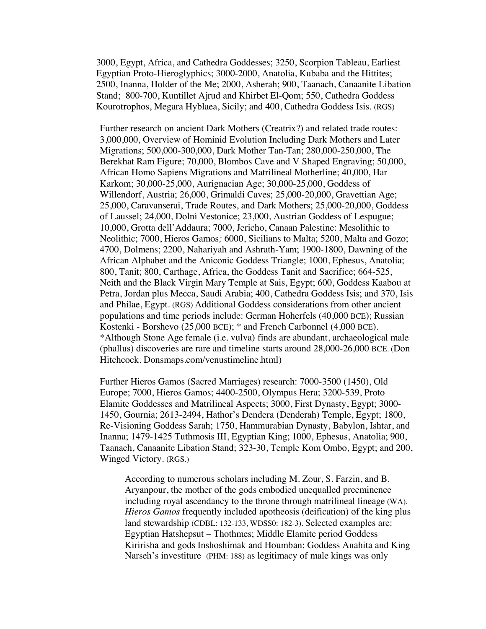3000, Egypt, Africa, and Cathedra Goddesses; 3250, Scorpion Tableau, Earliest Egyptian Proto-Hieroglyphics; 3000-2000, Anatolia, Kubaba and the Hittites; 2500, Inanna, Holder of the Me; 2000, Asherah; 900, Taanach, Canaanite Libation Stand; 800-700, Kuntillet Ajrud and Khirbet El-Qom; 550, Cathedra Goddess Kourotrophos, Megara Hyblaea, Sicily; and 400, Cathedra Goddess Isis. (RGS)

Further research on ancient Dark Mothers (Creatrix?) and related trade routes: 3,000,000, Overview of Hominid Evolution Including Dark Mothers and Later Migrations; 500,000-300,000, Dark Mother Tan-Tan; 280,000-250,000, The Berekhat Ram Figure; 70,000, Blombos Cave and V Shaped Engraving; 50,000, African Homo Sapiens Migrations and Matrilineal Motherline; 40,000, Har Karkom; 30,000-25,000, Aurignacian Age; 30,000-25,000, Goddess of Willendorf, Austria; 26,000, Grimaldi Caves; 25,000-20,000, Gravettian Age; 25,000, Caravanserai, Trade Routes, and Dark Mothers; 25,000-20,000, Goddess of Laussel; 24,000, Dolni Vestonice; 23,000, Austrian Goddess of Lespugue; 10,000, Grotta dell'Addaura; 7000, Jericho, Canaan Palestine: Mesolithic to Neolithic; 7000, Hieros Gamos*;* 6000, Sicilians to Malta; 5200, Malta and Gozo; 4700, Dolmens; 2200, Nahariyah and Ashrath-Yam; 1900-1800, Dawning of the African Alphabet and the Aniconic Goddess Triangle; 1000, Ephesus, Anatolia; 800, Tanit; 800, Carthage, Africa, the Goddess Tanit and Sacrifice; 664-525, Neith and the Black Virgin Mary Temple at Sais, Egypt; 600, Goddess Kaabou at Petra, Jordan plus Mecca, Saudi Arabia; 400, Cathedra Goddess Isis; and 370, Isis and Philae, Egypt. (RGS) Additional Goddess considerations from other ancient populations and time periods include: German Hoherfels (40,000 BCE); Russian Kostenki - Borshevo (25,000 BCE); \* and French Carbonnel (4,000 BCE). \*Although Stone Age female (i.e. vulva) finds are abundant, archaeological male (phallus) discoveries are rare and timeline starts around 28,000-26,000 BCE. (Don Hitchcock. Donsmaps.com/venustimeline.html)

Further Hieros Gamos (Sacred Marriages) research: 7000-3500 (1450), Old Europe; 7000, Hieros Gamos; 4400-2500, Olympus Hera; 3200-539, Proto Elamite Goddesses and Matrilineal Aspects; 3000, First Dynasty, Egypt; 3000- 1450, Gournia; 2613-2494, Hathor's Dendera (Denderah) Temple, Egypt; 1800, Re-Visioning Goddess Sarah; 1750, Hammurabian Dynasty, Babylon, Ishtar, and Inanna; 1479-1425 Tuthmosis III, Egyptian King; 1000, Ephesus, Anatolia; 900, Taanach, Canaanite Libation Stand; 323-30, Temple Kom Ombo, Egypt; and 200, Winged Victory. (RGS.)

According to numerous scholars including M. Zour, S. Farzin, and B. Aryanpour, the mother of the gods embodied unequalled preeminence including royal ascendancy to the throne through matrilineal lineage (WA). *Hieros Gamos* frequently included apotheosis (deification) of the king plus land stewardship (CDBL: 132-133, WDSS0: 182-3). Selected examples are: Egyptian Hatshepsut – Thothmes; Middle Elamite period Goddess Kiririsha and gods Inshoshimak and Houmban; Goddess Anahita and King Narseh's investiture (PHM: 188) as legitimacy of male kings was only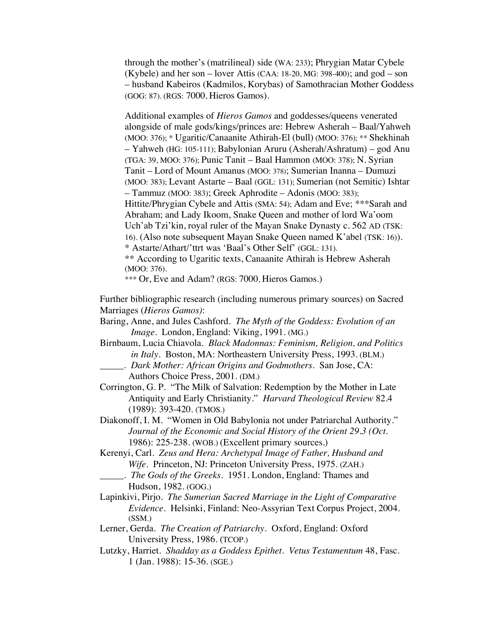through the mother's (matrilineal) side (WA: 233); Phrygian Matar Cybele (Kybele) and her son – lover Attis (CAA: 18-20, MG: 398-400); and god – son – husband Kabeiros (Kadmilos, Korybas) of Samothracian Mother Goddess (GOG: 87). (RGS: 7000, Hieros Gamos).

Additional examples of *Hieros Gamos* and goddesses/queens venerated alongside of male gods/kings/princes are: Hebrew Asherah – Baal/Yahweh (MOO: 376); \* Ugaritic/Canaanite Athirah-El (bull) (MOO: 376); \*\* Shekhinah – Yahweh (HG: 105-111); Babylonian Aruru (Asherah/Ashratum) – god Anu (TGA: 39, MOO: 376); Punic Tanit – Baal Hammon (MOO: 378); N. Syrian Tanit – Lord of Mount Amanus (MOO: 378); Sumerian Inanna – Dumuzi (MOO: 383); Levant Astarte – Baal (GGL: 131); Sumerian (not Semitic) Ishtar – Tammuz (MOO: 383); Greek Aphrodite – Adonis (MOO: 383); Hittite/Phrygian Cybele and Attis (SMA: 54); Adam and Eve; \*\*\*Sarah and Abraham; and Lady Ikoom, Snake Queen and mother of lord Wa'oom Uch'ab Tzi'kin, royal ruler of the Mayan Snake Dynasty c. 562 AD (TSK: 16). (Also note subsequent Mayan Snake Queen named K'abel (TSK: 16)). \* Astarte/Athart/'ttrt was 'Baal's Other Self' (GGL: 131). \*\* According to Ugaritic texts, Canaanite Athirah is Hebrew Asherah

(MOO: 376).

\*\*\* Or, Eve and Adam? (RGS: 7000, Hieros Gamos.)

Further bibliographic research (including numerous primary sources) on Sacred Marriages (*Hieros Gamos)*:

Baring, Anne, and Jules Cashford. *The Myth of the Goddess: Evolution of an Image*. London, England: Viking, 1991. (MG.)

Birnbaum, Lucia Chiavola. *Black Madonnas: Feminism, Religion, and Politics in Italy.* Boston, MA: Northeastern University Press, 1993. (BLM.) \_\_\_\_\_. *Dark Mother: African Origins and Godmothers*. San Jose, CA:

Authors Choice Press, 2001. (DM.)

- Corrington, G. P. "The Milk of Salvation: Redemption by the Mother in Late Antiquity and Early Christianity." *Harvard Theological Review* 82.4 (1989): 393-420. (TMOS.)
- Diakonoff, I. M. "Women in Old Babylonia not under Patriarchal Authority." *Journal of the Economic and Social History of the Orient 29.3 (Oct.*  1986): 225-238. (WOB.) (Excellent primary sources.)
- Kerenyi, Carl. *Zeus and Hera: Archetypal Image of Father, Husband and Wife*. Princeton, NJ: Princeton University Press, 1975. (ZAH.)
	- \_\_\_\_\_. *The Gods of the Greeks*. 1951. London, England: Thames and Hudson, 1982. (GOG.)
- Lapinkivi, Pirjo. *The Sumerian Sacred Marriage in the Light of Comparative Evidence*. Helsinki, Finland: Neo-Assyrian Text Corpus Project, 2004. (SSM.)
- Lerner, Gerda. *The Creation of Patriarchy.* Oxford, England: Oxford University Press, 1986. (TCOP.)
- Lutzky, Harriet. *Shadday as a Goddess Epithet. Vetus Testamentum* 48, Fasc. 1 (Jan. 1988): 15-36. (SGE.)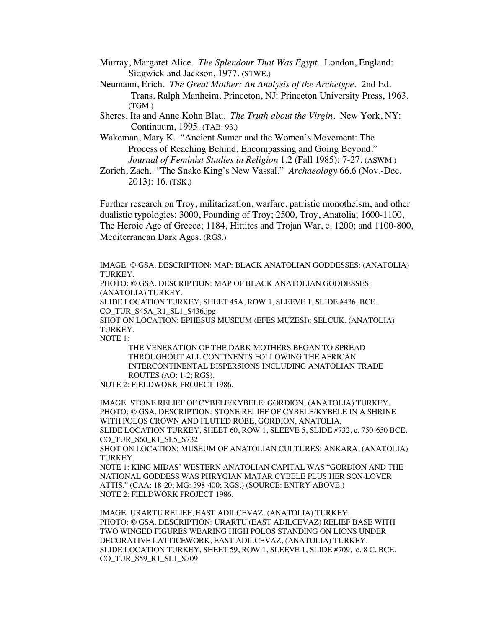- Murray, Margaret Alice. *The Splendour That Was Egypt*. London, England: Sidgwick and Jackson, 1977. (STWE.)
- Neumann, Erich*. The Great Mother: An Analysis of the Archetype*. 2nd Ed. Trans. Ralph Manheim. Princeton, NJ: Princeton University Press, 1963. (TGM.)
- Sheres, Ita and Anne Kohn Blau. *The Truth about the Virgin*. New York, NY: Continuum, 1995. (TAB: 93.)
- Wakeman, Mary K. "Ancient Sumer and the Women's Movement: The Process of Reaching Behind, Encompassing and Going Beyond." *Journal of Feminist Studies in Religion* 1.2 (Fall 1985): 7-27. (ASWM.)
- Zorich, Zach. "The Snake King's New Vassal." *Archaeology* 66.6 (Nov.-Dec. 2013): 16. (TSK.)

Further research on Troy, militarization, warfare, patristic monotheism, and other dualistic typologies: 3000, Founding of Troy; 2500, Troy, Anatolia; 1600-1100, The Heroic Age of Greece; 1184, Hittites and Trojan War, c. 1200; and 1100-800, Mediterranean Dark Ages. (RGS.)

IMAGE: © GSA. DESCRIPTION: MAP: BLACK ANATOLIAN GODDESSES: (ANATOLIA) TURKEY.

PHOTO: © GSA. DESCRIPTION: MAP OF BLACK ANATOLIAN GODDESSES: (ANATOLIA) TURKEY.

SLIDE LOCATION TURKEY, SHEET 45A, ROW 1, SLEEVE 1, SLIDE #436, BCE. CO\_TUR\_S45A\_R1\_SL1\_S436.jpg

SHOT ON LOCATION: EPHESUS MUSEUM (EFES MUZESI): SELCUK, (ANATOLIA) TURKEY.

NOTE 1:

THE VENERATION OF THE DARK MOTHERS BEGAN TO SPREAD THROUGHOUT ALL CONTINENTS FOLLOWING THE AFRICAN INTERCONTINENTAL DISPERSIONS INCLUDING ANATOLIAN TRADE ROUTES (AO: 1-2; RGS).

NOTE 2: FIELDWORK PROJECT 1986.

IMAGE: STONE RELIEF OF CYBELE/KYBELE: GORDION, (ANATOLIA) TURKEY. PHOTO: © GSA. DESCRIPTION: STONE RELIEF OF CYBELE/KYBELE IN A SHRINE WITH POLOS CROWN AND FLUTED ROBE, GORDION, ANATOLIA. SLIDE LOCATION TURKEY, SHEET 60, ROW 1, SLEEVE 5, SLIDE #732, c. 750-650 BCE. CO\_TUR\_S60\_R1\_SL5\_S732

SHOT ON LOCATION: MUSEUM OF ANATOLIAN CULTURES: ANKARA, (ANATOLIA) TURKEY.

NOTE 1: KING MIDAS' WESTERN ANATOLIAN CAPITAL WAS "GORDION AND THE NATIONAL GODDESS WAS PHRYGIAN MATAR CYBELE PLUS HER SON-LOVER ATTIS." (CAA: 18-20; MG: 398-400; RGS.) (SOURCE: ENTRY ABOVE.) NOTE 2: FIELDWORK PROJECT 1986.

IMAGE: URARTU RELIEF, EAST ADILCEVAZ: (ANATOLIA) TURKEY. PHOTO: © GSA. DESCRIPTION: URARTU (EAST ADILCEVAZ) RELIEF BASE WITH TWO WINGED FIGURES WEARING HIGH POLOS STANDING ON LIONS UNDER DECORATIVE LATTICEWORK, EAST ADILCEVAZ, (ANATOLIA) TURKEY. SLIDE LOCATION TURKEY, SHEET 59, ROW 1, SLEEVE 1, SLIDE #709, c. 8 C. BCE. CO\_TUR\_S59\_R1\_SL1\_S709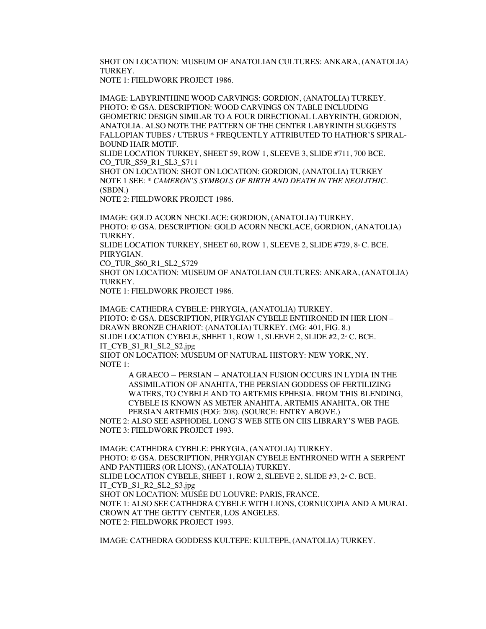SHOT ON LOCATION: MUSEUM OF ANATOLIAN CULTURES: ANKARA, (ANATOLIA) TURKEY.

NOTE 1: FIELDWORK PROJECT 1986.

IMAGE: LABYRINTHINE WOOD CARVINGS: GORDION, (ANATOLIA) TURKEY. PHOTO: © GSA. DESCRIPTION: WOOD CARVINGS ON TABLE INCLUDING GEOMETRIC DESIGN SIMILAR TO A FOUR DIRECTIONAL LABYRINTH, GORDION, ANATOLIA. ALSO NOTE THE PATTERN OF THE CENTER LABYRINTH SUGGESTS FALLOPIAN TUBES / UTERUS \* FREQUENTLY ATTRIBUTED TO HATHOR'S SPIRAL-BOUND HAIR MOTIF.

SLIDE LOCATION TURKEY, SHEET 59, ROW 1, SLEEVE 3, SLIDE #711, 700 BCE. CO\_TUR\_S59\_R1\_SL3\_S711

SHOT ON LOCATION: SHOT ON LOCATION: GORDION, (ANATOLIA) TURKEY NOTE 1 SEE: \* *CAMERON'S SYMBOLS OF BIRTH AND DEATH IN THE NEOLITHIC.* (SBDN.)

NOTE 2: FIELDWORK PROJECT 1986.

IMAGE: GOLD ACORN NECKLACE: GORDION, (ANATOLIA) TURKEY. PHOTO: © GSA. DESCRIPTION: GOLD ACORN NECKLACE, GORDION, (ANATOLIA) TURKEY.

SLIDE LOCATION TURKEY, SHEET 60, ROW 1, SLEEVE 2, SLIDE #729,  $8<sup>*</sup>$  C. BCE. PHRYGIAN.

CO\_TUR\_S60\_R1\_SL2\_S729

SHOT ON LOCATION: MUSEUM OF ANATOLIAN CULTURES: ANKARA, (ANATOLIA) TURKEY.

NOTE 1: FIELDWORK PROJECT 1986.

IMAGE: CATHEDRA CYBELE: PHRYGIA, (ANATOLIA) TURKEY. PHOTO: © GSA. DESCRIPTION, PHRYGIAN CYBELE ENTHRONED IN HER LION – DRAWN BRONZE CHARIOT: (ANATOLIA) TURKEY. (MG: 401, FIG. 8.) SLIDE LOCATION CYBELE, SHEET 1, ROW 1, SLEEVE 2, SLIDE  $#2, 2^{\omega}$  C. BCE. IT\_CYB\_S1\_R1\_SL2\_S2.jpg

SHOT ON LOCATION: MUSEUM OF NATURAL HISTORY: NEW YORK, NY. NOTE 1:

> A GRAECO – PERSIAN – ANATOLIAN FUSION OCCURS IN LYDIA IN THE ASSIMILATION OF ANAHITA, THE PERSIAN GODDESS OF FERTILIZING WATERS, TO CYBELE AND TO ARTEMIS EPHESIA. FROM THIS BLENDING, CYBELE IS KNOWN AS METER ANAHITA, ARTEMIS ANAHITA, OR THE PERSIAN ARTEMIS (FOG: 208). (SOURCE: ENTRY ABOVE.)

NOTE 2: ALSO SEE ASPHODEL LONG'S WEB SITE ON CIIS LIBRARY'S WEB PAGE. NOTE 3: FIELDWORK PROJECT 1993.

IMAGE: CATHEDRA CYBELE: PHRYGIA, (ANATOLIA) TURKEY. PHOTO: © GSA. DESCRIPTION, PHRYGIAN CYBELE ENTHRONED WITH A SERPENT AND PANTHERS (OR LIONS), (ANATOLIA) TURKEY. SLIDE LOCATION CYBELE, SHEET 1, ROW 2, SLEEVE 2, SLIDE  $#3, 2^{\omega}$  C. BCE. IT\_CYB\_S1\_R2\_SL2\_S3.jpg SHOT ON LOCATION: MUSÉE DU LOUVRE: PARIS, FRANCE. NOTE 1: ALSO SEE CATHEDRA CYBELE WITH LIONS, CORNUCOPIA AND A MURAL CROWN AT THE GETTY CENTER, LOS ANGELES. NOTE 2: FIELDWORK PROJECT 1993.

IMAGE: CATHEDRA GODDESS KULTEPE: KULTEPE, (ANATOLIA) TURKEY.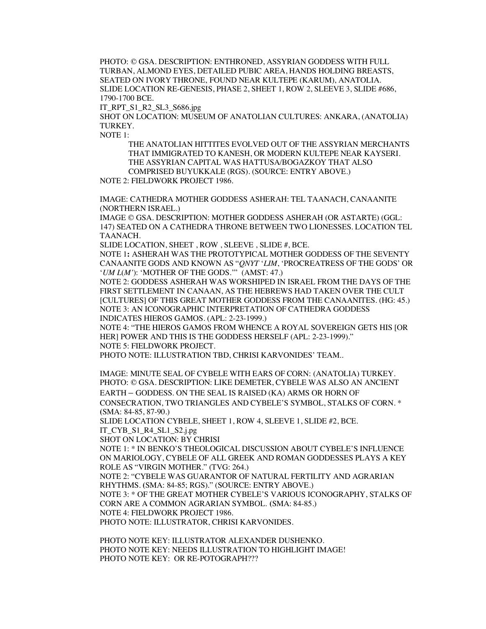PHOTO: © GSA. DESCRIPTION: ENTHRONED, ASSYRIAN GODDESS WITH FULL TURBAN, ALMOND EYES, DETAILED PUBIC AREA, HANDS HOLDING BREASTS, SEATED ON IVORY THRONE, FOUND NEAR KULTEPE (KARUM), ANATOLIA. SLIDE LOCATION RE-GENESIS, PHASE 2, SHEET 1, ROW 2, SLEEVE 3, SLIDE #686, 1790-1700 BCE.

IT\_RPT\_S1\_R2\_SL3\_S686.jpg

SHOT ON LOCATION: MUSEUM OF ANATOLIAN CULTURES: ANKARA, (ANATOLIA) **TURKEY** 

NOTE 1:

THE ANATOLIAN HITTITES EVOLVED OUT OF THE ASSYRIAN MERCHANTS THAT IMMIGRATED TO KANESH, OR MODERN KULTEPE NEAR KAYSERI. THE ASSYRIAN CAPITAL WAS HATTUSA/BOGAZKOY THAT ALSO COMPRISED BUYUKKALE (RGS). (SOURCE: ENTRY ABOVE.)

NOTE 2: FIELDWORK PROJECT 1986.

IMAGE: CATHEDRA MOTHER GODDESS ASHERAH: TEL TAANACH, CANAANITE (NORTHERN ISRAEL.)

IMAGE © GSA. DESCRIPTION: MOTHER GODDESS ASHERAH (OR ASTARTE) (GGL: 147) SEATED ON A CATHEDRA THRONE BETWEEN TWO LIONESSES. LOCATION TEL TAANACH.

SLIDE LOCATION, SHEET , ROW , SLEEVE , SLIDE #, BCE.

NOTE 1**:** ASHERAH WAS THE PROTOTYPICAL MOTHER GODDESS OF THE SEVENTY CANAANITE GODS AND KNOWN AS "*QNYT* '*LIM*, 'PROCREATRESS OF THE GODS' OR '*UM L*(*M*'): 'MOTHER OF THE GODS.'" (AMST: 47.)

NOTE 2: GODDESS ASHERAH WAS WORSHIPED IN ISRAEL FROM THE DAYS OF THE FIRST SETTLEMENT IN CANAAN, AS THE HEBREWS HAD TAKEN OVER THE CULT [CULTURES] OF THIS GREAT MOTHER GODDESS FROM THE CANAANITES. (HG: 45.) NOTE 3: AN ICONOGRAPHIC INTERPRETATION OF CATHEDRA GODDESS INDICATES HIEROS GAMOS. (APL: 2-23-1999.)

NOTE 4: "THE HIEROS GAMOS FROM WHENCE A ROYAL SOVEREIGN GETS HIS [OR HER] POWER AND THIS IS THE GODDESS HERSELF (APL: 2-23-1999)." NOTE 5: FIELDWORK PROJECT.

PHOTO NOTE: ILLUSTRATION TBD, CHRISI KARVONIDES' TEAM..

IMAGE: MINUTE SEAL OF CYBELE WITH EARS OF CORN: (ANATOLIA) TURKEY. PHOTO: © GSA. DESCRIPTION: LIKE DEMETER, CYBELE WAS ALSO AN ANCIENT EARTH – GODDESS. ON THE SEAL IS RAISED (KA) ARMS OR HORN OF CONSECRATION, TWO TRIANGLES AND CYBELE'S SYMBOL, STALKS OF CORN. \*

**(**SMA: 84-85, 87-90.) SLIDE LOCATION CYBELE, SHEET 1, ROW 4, SLEEVE 1, SLIDE #2, BCE. IT\_CYB\_S1\_R4\_SL1\_S2.j.pg

SHOT ON LOCATION: BY CHRISI

NOTE 1: \* IN BENKO'S THEOLOGICAL DISCUSSION ABOUT CYBELE'S INFLUENCE ON MARIOLOGY, CYBELE OF ALL GREEK AND ROMAN GODDESSES PLAYS A KEY ROLE AS "VIRGIN MOTHER." (TVG: 264.)

NOTE 2: "CYBELE WAS GUARANTOR OF NATURAL FERTILITY AND AGRARIAN RHYTHMS. **(**SMA: 84-85; RGS)." (SOURCE: ENTRY ABOVE.)

NOTE 3: \* OF THE GREAT MOTHER CYBELE'S VARIOUS ICONOGRAPHY, STALKS OF CORN ARE A COMMON AGRARIAN SYMBOL. **(**SMA: 84-85.)

NOTE 4: FIELDWORK PROJECT 1986.

PHOTO NOTE: ILLUSTRATOR, CHRISI KARVONIDES.

PHOTO NOTE KEY: ILLUSTRATOR ALEXANDER DUSHENKO. PHOTO NOTE KEY: NEEDS ILLUSTRATION TO HIGHLIGHT IMAGE! PHOTO NOTE KEY: OR RE-POTOGRAPH???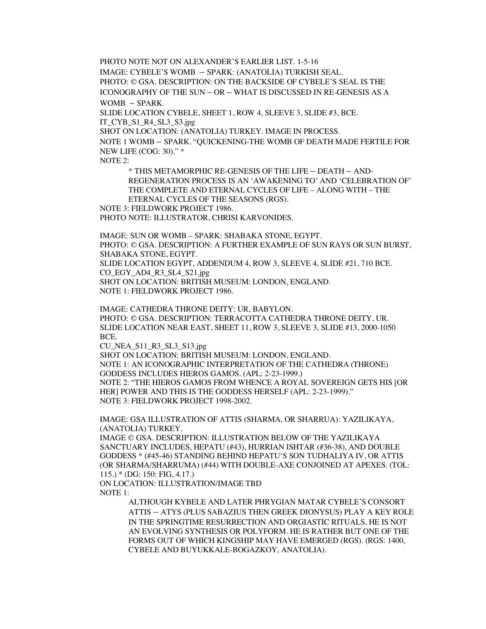PHOTO NOTE NOT ON ALEXANDER'S EARLIER LIST. 1-5-16 IMAGE: CYBELE'S WOMB – SPARK: (ANATOLIA) TURKISH SEAL. PHOTO: © GSA. DESCRIPTION: ON THE BACKSIDE OF CYBELE'S SEAL IS THE ICONOGRAPHY OF THE SUN – OR – WHAT IS DISCUSSED IN RE-GENESIS AS A WOMB – SPARK.

SLIDE LOCATION CYBELE, SHEET 1, ROW 4, SLEEVE 3, SLIDE #3, BCE. IT\_CYB\_S1\_R4\_SL3\_S3.jpg

SHOT ON LOCATION: (ANATOLIA) TURKEY. IMAGE IN PROCESS.

NOTE 1 WOMB – SPARK. "QUICKENING-THE WOMB OF DEATH MADE FERTILE FOR NEW LIFE (COG: 30)." \*

NOTE 2:

\* THIS METAMORPHIC RE-GENESIS OF THE LIFE – DEATH – AND-REGENERATION PROCESS IS AN 'AWAKENING TO' AND 'CELEBRATION OF' THE COMPLETE AND ETERNAL CYCLES OF LIFE – ALONG WITH – THE ETERNAL CYCLES OF THE SEASONS (RGS).

NOTE 3: FIELDWORK PROJECT 1986.

PHOTO NOTE: ILLUSTRATOR, CHRISI KARVONIDES.

IMAGE: SUN OR WOMB – SPARK: SHABAKA STONE, EGYPT. PHOTO: © GSA. DESCRIPTION: A FURTHER EXAMPLE OF SUN RAYS OR SUN BURST, SHABAKA STONE, EGYPT.

SLIDE LOCATION EGYPT, ADDENDUM 4, ROW 3, SLEEVE 4, SLIDE #21, 710 BCE. CO\_EGY\_AD4\_R3\_SL4\_S21.jpg

SHOT ON LOCATION: BRITISH MUSEUM: LONDON, ENGLAND. NOTE 1: FIELDWORK PROJECT 1986.

IMAGE: CATHEDRA THRONE DEITY: UR, BABYLON. PHOTO: © GSA. DESCRIPTION: TERRACOTTA CATHEDRA THRONE DEITY, UR. SLIDE LOCATION NEAR EAST, SHEET 11, ROW 3, SLEEVE 3, SLIDE #13, 2000-1050 BCE.

CU\_NEA\_S11\_R3\_SL3\_S13.jpg

SHOT ON LOCATION: BRITISH MUSEUM: LONDON, ENGLAND. NOTE 1: AN ICONOGRAPHIC INTERPRETATION OF THE CATHEDRA (THRONE) GODDESS INCLUDES HIEROS GAMOS. (APL: 2-23-1999.) NOTE 2: "THE HIEROS GAMOS FROM WHENCE A ROYAL SOVEREIGN GETS HIS [OR HER] POWER AND THIS IS THE GODDESS HERSELF (APL: 2-23-1999)." NOTE 3: FIELDWORK PROJECT 1998-2002.

IMAGE: GSA ILLUSTRATION OF ATTIS (SHARMA, OR SHARRUA): YAZILIKAYA, (ANATOLIA) TURKEY.

IMAGE © GSA. DESCRIPTION: ILLUSTRATION BELOW OF THE YAZILIKAYA SANCTUARY INCLUDES, HEPATU (#43), HURRIAN ISHTAR (#36-38), AND DOUBLE GODDESS \* (#45-46) STANDING BEHIND HEPATU'S SON TUDHALIYA IV, OR ATTIS (OR SHARMA/SHARRUMA) (#44) WITH DOUBLE-AXE CONJOINED AT APEXES. (TOL: 115.) \* (DG: 150: FIG, 4.17.)

ON LOCATION: ILLUSTRATION/IMAGE TBD NOTE 1:

> ALTHOUGH KYBELE AND LATER PHRYGIAN MATAR CYBELE'S CONSORT ATTIS – ATYS (PLUS SABAZIUS THEN GREEK DIONYSUS) PLAY A KEY ROLE IN THE SPRINGTIME RESURRECTION AND ORGIASTIC RITUALS, HE IS NOT AN EVOLVING SYNTHESIS OR POLYFORM. HE IS RATHER BUT ONE OF THE FORMS OUT OF WHICH KINGSHIP MAY HAVE EMERGED (RGS). (RGS: 1400, CYBELE AND BUYUKKALE-BOGAZKOY, ANATOLIA).